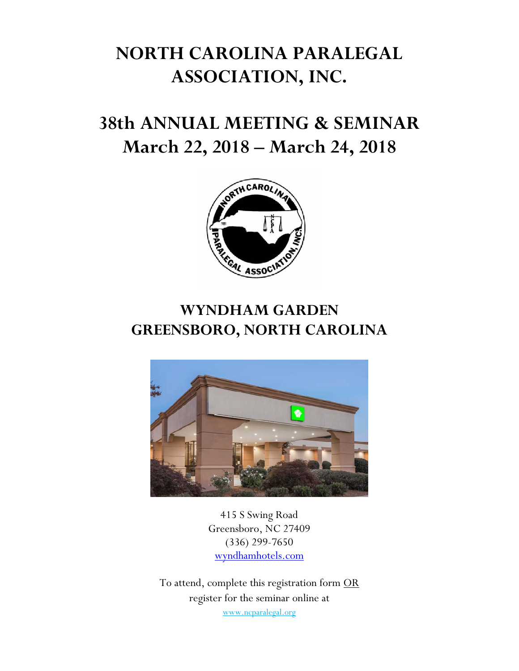# **NORTH CAROLINA PARALEGAL ASSOCIATION, INC.**

# **38th ANNUAL MEETING & SEMINAR March 22, 2018 – March 24, 2018**



## **WYNDHAM GARDEN GREENSBORO, NORTH CAROLINA**



415 S Swing Road Greensboro, NC 27409 (336) 299-7650 wyndhamhotels.com

To attend, complete this registration form OR register for the seminar online at www.ncparalegal.org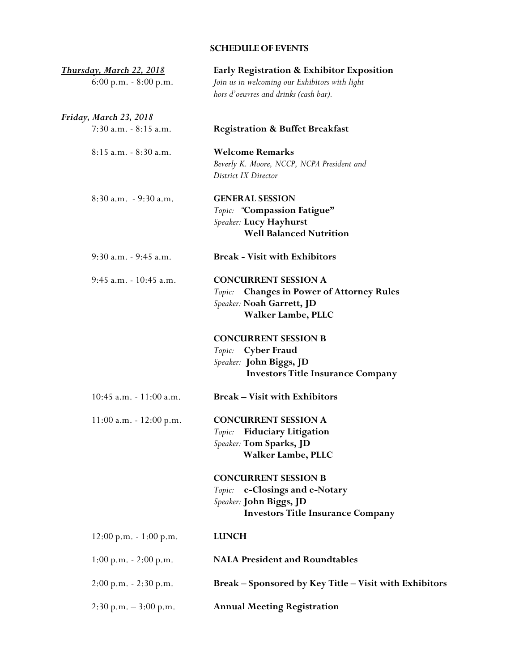## **SCHEDULE OF EVENTS**

| Thursday, March 22, 2018                 | Early Registration & Exhibitor Exposition                                                                                             |
|------------------------------------------|---------------------------------------------------------------------------------------------------------------------------------------|
| $6:00$ p.m. $-8:00$ p.m.                 | Join us in welcoming our Exhibitors with light<br>hors d'oeuvres and drinks (cash bar).                                               |
| <u>Friday, March 23, 2018</u>            |                                                                                                                                       |
| $7:30$ a.m. $-8:15$ a.m.                 | <b>Registration &amp; Buffet Breakfast</b>                                                                                            |
| 8:15 a.m. - 8:30 a.m.                    | <b>Welcome Remarks</b><br>Beverly K. Moore, NCCP, NCPA President and<br>District IX Director                                          |
| $8:30$ a.m. $-9:30$ a.m.                 | <b>GENERAL SESSION</b><br>Topic: "Compassion Fatigue"<br>Speaker: Lucy Hayhurst<br><b>Well Balanced Nutrition</b>                     |
| 9:30 a.m. - 9:45 a.m.                    | <b>Break - Visit with Exhibitors</b>                                                                                                  |
| 9:45 a.m. - 10:45 a.m.                   | <b>CONCURRENT SESSION A</b><br><b>Changes in Power of Attorney Rules</b><br>Topic:<br>Speaker: Noah Garrett, JD<br>Walker Lambe, PLLC |
|                                          | <b>CONCURRENT SESSION B</b><br>Topic: Cyber Fraud<br>Speaker: John Biggs, JD<br><b>Investors Title Insurance Company</b>              |
| $10:45$ a.m. $-11:00$ a.m.               | <b>Break – Visit with Exhibitors</b>                                                                                                  |
| $11:00$ a.m. $-12:00$ p.m.               | <b>CONCURRENT SESSION A</b><br><b>Fiduciary Litigation</b><br>Topic:<br>Speaker: Tom Sparks, JD<br>Walker Lambe, PLLC                 |
|                                          | <b>CONCURRENT SESSION B</b><br>Topic: e-Closings and e-Notary<br>Speaker: John Biggs, JD<br><b>Investors Title Insurance Company</b>  |
| $12:00 \text{ p.m.} - 1:00 \text{ p.m.}$ | <b>LUNCH</b>                                                                                                                          |
| $1:00 \text{ p.m.} - 2:00 \text{ p.m.}$  | <b>NALA President and Roundtables</b>                                                                                                 |
| $2:00$ p.m. $-2:30$ p.m.                 | Break - Sponsored by Key Title - Visit with Exhibitors                                                                                |
| $2:30$ p.m. $-3:00$ p.m.                 | <b>Annual Meeting Registration</b>                                                                                                    |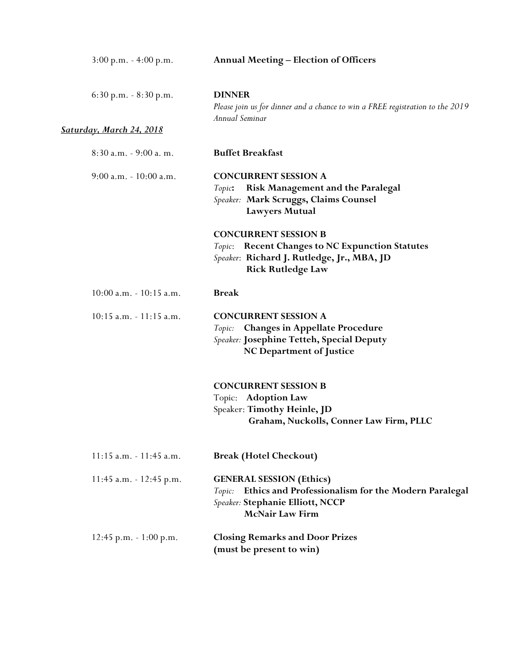| $3:00 \text{ p.m.} - 4:00 \text{ p.m.}$ | <b>Annual Meeting – Election of Officers</b>                                                                                                                   |
|-----------------------------------------|----------------------------------------------------------------------------------------------------------------------------------------------------------------|
| $6:30$ p.m. $-8:30$ p.m.                | <b>DINNER</b><br>Please join us for dinner and a chance to win a FREE registration to the 2019<br>Annual Seminar                                               |
| <b>Saturday, March 24, 2018</b>         |                                                                                                                                                                |
| 8:30 a.m. - 9:00 a.m.                   | <b>Buffet Breakfast</b>                                                                                                                                        |
| $9:00$ a.m. $-10:00$ a.m.               | <b>CONCURRENT SESSION A</b><br><b>Risk Management and the Paralegal</b><br>Topic:<br>Speaker: Mark Scruggs, Claims Counsel<br>Lawyers Mutual                   |
|                                         | <b>CONCURRENT SESSION B</b><br>Topic: Recent Changes to NC Expunction Statutes<br>Speaker: Richard J. Rutledge, Jr., MBA, JD<br><b>Rick Rutledge Law</b>       |
| $10:00$ a.m. $-10:15$ a.m.              | <b>Break</b>                                                                                                                                                   |
| $10:15$ a.m. $-11:15$ a.m.              | <b>CONCURRENT SESSION A</b><br>Topic: Changes in Appellate Procedure<br>Speaker: Josephine Tetteh, Special Deputy<br><b>NC Department of Justice</b>           |
|                                         | <b>CONCURRENT SESSION B</b><br>Topic: Adoption Law<br>Speaker: Timothy Heinle, JD<br>Graham, Nuckolls, Conner Law Firm, PLLC                                   |
| 11:15 a.m. - 11:45 a.m.                 | <b>Break (Hotel Checkout)</b>                                                                                                                                  |
| 11:45 a.m. - 12:45 p.m.                 | <b>GENERAL SESSION (Ethics)</b><br>Ethics and Professionalism for the Modern Paralegal<br>Topic:<br>Speaker: Stephanie Elliott, NCCP<br><b>McNair Law Firm</b> |
| 12:45 p.m. $-1:00$ p.m.                 | <b>Closing Remarks and Door Prizes</b><br>(must be present to win)                                                                                             |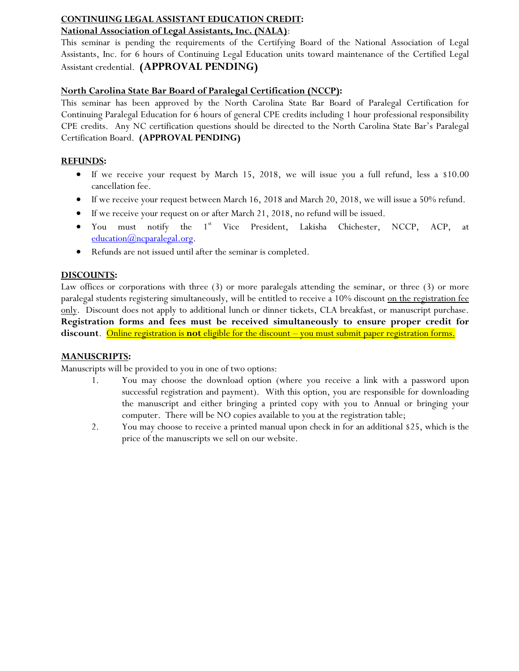## **CONTINUING LEGAL ASSISTANT EDUCATION CREDIT:**

## **National Association of Legal Assistants, Inc. (NALA)**:

This seminar is pending the requirements of the Certifying Board of the National Association of Legal Assistants, Inc. for 6 hours of Continuing Legal Education units toward maintenance of the Certified Legal Assistant credential. **(APPROVAL PENDING)** 

## **North Carolina State Bar Board of Paralegal Certification (NCCP):**

This seminar has been approved by the North Carolina State Bar Board of Paralegal Certification for Continuing Paralegal Education for 6 hours of general CPE credits including 1 hour professional responsibility CPE credits. Any NC certification questions should be directed to the North Carolina State Bar's Paralegal Certification Board. **(APPROVAL PENDING)** 

## **REFUNDS:**

- If we receive your request by March 15, 2018, we will issue you a full refund, less a \$10.00 cancellation fee.
- If we receive your request between March 16, 2018 and March 20, 2018, we will issue a 50% refund.
- If we receive your request on or after March 21, 2018, no refund will be issued.
- You must notify the 1<sup>st</sup> Vice President, Lakisha Chichester, NCCP, ACP, at education $(\omega)$ ncparalegal.org.
- Refunds are not issued until after the seminar is completed.

## **DISCOUNTS:**

Law offices or corporations with three (3) or more paralegals attending the seminar, or three (3) or more paralegal students registering simultaneously, will be entitled to receive a 10% discount on the registration fee only. Discount does not apply to additional lunch or dinner tickets, CLA breakfast, or manuscript purchase. **Registration forms and fees must be received simultaneously to ensure proper credit for discount**. Online registration is **not** eligible for the discount – you must submit paper registration forms.

## **MANUSCRIPTS:**

Manuscripts will be provided to you in one of two options:

- 1. You may choose the download option (where you receive a link with a password upon successful registration and payment). With this option, you are responsible for downloading the manuscript and either bringing a printed copy with you to Annual or bringing your computer. There will be NO copies available to you at the registration table;
- 2. You may choose to receive a printed manual upon check in for an additional \$25, which is the price of the manuscripts we sell on our website.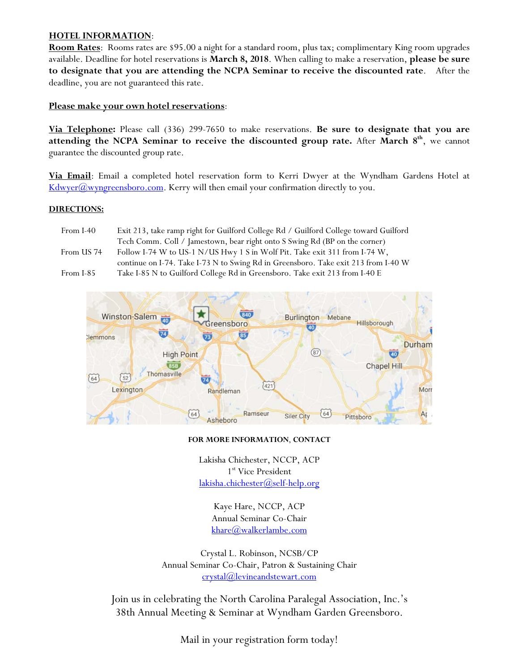### **HOTEL INFORMATION**:

**Room Rates**: Rooms rates are \$95.00 a night for a standard room, plus tax; complimentary King room upgrades available. Deadline for hotel reservations is **March 8, 2018**. When calling to make a reservation, **please be sure to designate that you are attending the NCPA Seminar to receive the discounted rate**. After the deadline, you are not guaranteed this rate.

### **Please make your own hotel reservations**:

**Via Telephone:** Please call (336) 299-7650 to make reservations. **Be sure to designate that you are attending the NCPA Seminar to receive the discounted group rate.** After **March 8th**, we cannot guarantee the discounted group rate.

**Via Email**: Email a completed hotel reservation form to Kerri Dwyer at the Wyndham Gardens Hotel at  $Kdwyer(\omega wyngreensboro.com$ . Kerry will then email your confirmation directly to you.

#### **DIRECTIONS:**

| From I-40  | Exit 213, take ramp right for Guilford College Rd / Guilford College toward Guilford |
|------------|--------------------------------------------------------------------------------------|
|            | Tech Comm. Coll / Jamestown, bear right onto S Swing Rd (BP on the corner)           |
| From US 74 | Follow I-74 W to US-1 N/US Hwy 1 S in Wolf Pit. Take exit 311 from I-74 W,           |
|            | continue on I-74. Take I-73 N to Swing Rd in Greensboro. Take exit 213 from I-40 W   |
| From I-85  | Take I-85 N to Guilford College Rd in Greensboro. Take exit 213 from I-40 E          |



#### **FOR MORE INFORMATION**, **CONTACT**

Lakisha Chichester, NCCP, ACP 1<sup>st</sup> Vice President lakisha.chichester@self-help.org

> Kaye Hare, NCCP, ACP Annual Seminar Co-Chair khare@walkerlambe.com

Crystal L. Robinson, NCSB/CP Annual Seminar Co-Chair, Patron & Sustaining Chair crystal@levineandstewart.com

Join us in celebrating the North Carolina Paralegal Association, Inc.'s 38th Annual Meeting & Seminar at Wyndham Garden Greensboro.

Mail in your registration form today!